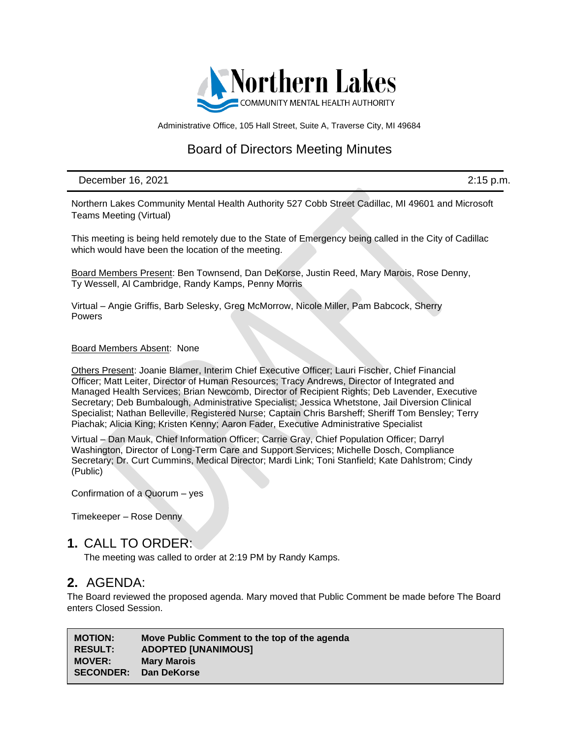

Administrative Office, 105 Hall Street, Suite A, Traverse City, MI 49684

## Board of Directors Meeting Minutes

December 16, 2021 2:15 p.m.

Northern Lakes Community Mental Health Authority 527 Cobb Street Cadillac, MI 49601 and Microsoft Teams Meeting (Virtual)

This meeting is being held remotely due to the State of Emergency being called in the City of Cadillac which would have been the location of the meeting.

Board Members Present: Ben Townsend, Dan DeKorse, Justin Reed, Mary Marois, Rose Denny, Ty Wessell, Al Cambridge, Randy Kamps, Penny Morris

Virtual – Angie Griffis, Barb Selesky, Greg McMorrow, Nicole Miller, Pam Babcock, Sherry Powers

#### Board Members Absent: None

Others Present: Joanie Blamer, Interim Chief Executive Officer; Lauri Fischer, Chief Financial Officer; Matt Leiter, Director of Human Resources; Tracy Andrews, Director of Integrated and Managed Health Services; Brian Newcomb, Director of Recipient Rights; Deb Lavender, Executive Secretary; Deb Bumbalough, Administrative Specialist; Jessica Whetstone, Jail Diversion Clinical Specialist; Nathan Belleville, Registered Nurse; Captain Chris Barsheff; Sheriff Tom Bensley; Terry Piachak; Alicia King; Kristen Kenny; Aaron Fader, Executive Administrative Specialist

Virtual – Dan Mauk, Chief Information Officer; Carrie Gray, Chief Population Officer; Darryl Washington, Director of Long-Term Care and Support Services; Michelle Dosch, Compliance Secretary; Dr. Curt Cummins, Medical Director; Mardi Link; Toni Stanfield; Kate Dahlstrom; Cindy (Public)

Confirmation of a Quorum – yes

Timekeeper – Rose Denny

#### **1.** CALL TO ORDER:

The meeting was called to order at 2:19 PM by Randy Kamps.

### **2.** AGENDA:

The Board reviewed the proposed agenda. Mary moved that Public Comment be made before The Board enters Closed Session.

| <b>MOTION:</b>   | Move Public Comment to the top of the agenda |
|------------------|----------------------------------------------|
| <b>RESULT:</b>   | <b>ADOPTED [UNANIMOUS]</b>                   |
| <b>MOVER:</b>    | <b>Mary Marois</b>                           |
| <b>SECONDER:</b> | Dan DeKorse                                  |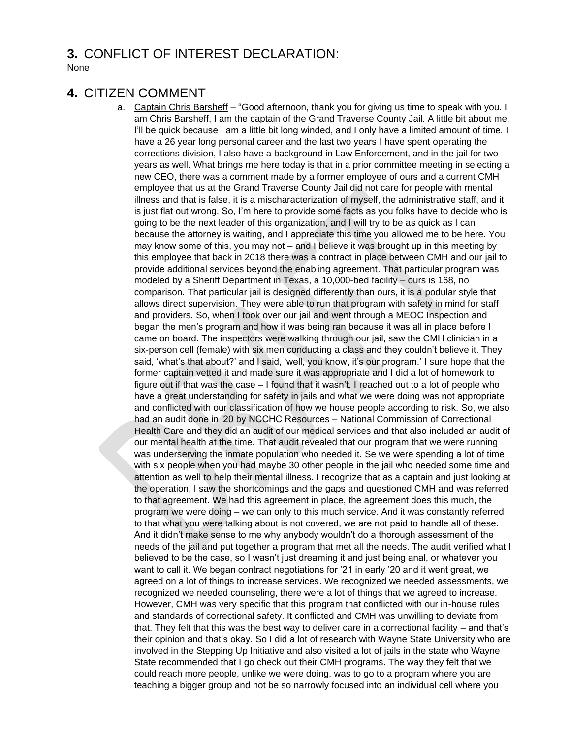### **3.** CONFLICT OF INTEREST DECLARATION:

None

### **4.** CITIZEN COMMENT

a. Captain Chris Barsheff – "Good afternoon, thank you for giving us time to speak with you. I am Chris Barsheff, I am the captain of the Grand Traverse County Jail. A little bit about me, I'll be quick because I am a little bit long winded, and I only have a limited amount of time. I have a 26 year long personal career and the last two years I have spent operating the corrections division, I also have a background in Law Enforcement, and in the jail for two years as well. What brings me here today is that in a prior committee meeting in selecting a new CEO, there was a comment made by a former employee of ours and a current CMH employee that us at the Grand Traverse County Jail did not care for people with mental illness and that is false, it is a mischaracterization of myself, the administrative staff, and it is just flat out wrong. So, I'm here to provide some facts as you folks have to decide who is going to be the next leader of this organization, and I will try to be as quick as I can because the attorney is waiting, and I appreciate this time you allowed me to be here. You may know some of this, you may not – and I believe it was brought up in this meeting by this employee that back in 2018 there was a contract in place between CMH and our jail to provide additional services beyond the enabling agreement. That particular program was modeled by a Sheriff Department in Texas, a 10,000-bed facility – ours is 168, no comparison. That particular jail is designed differently than ours, it is a podular style that allows direct supervision. They were able to run that program with safety in mind for staff and providers. So, when I took over our jail and went through a MEOC Inspection and began the men's program and how it was being ran because it was all in place before I came on board. The inspectors were walking through our jail, saw the CMH clinician in a six-person cell (female) with six men conducting a class and they couldn't believe it. They said, 'what's that about?' and I said, 'well, you know, it's our program.' I sure hope that the former captain vetted it and made sure it was appropriate and I did a lot of homework to figure out if that was the case – I found that it wasn't. I reached out to a lot of people who have a great understanding for safety in jails and what we were doing was not appropriate and conflicted with our classification of how we house people according to risk. So, we also had an audit done in '20 by NCCHC Resources – National Commission of Correctional Health Care and they did an audit of our medical services and that also included an audit of our mental health at the time. That audit revealed that our program that we were running was underserving the inmate population who needed it. Se we were spending a lot of time with six people when you had maybe 30 other people in the jail who needed some time and attention as well to help their mental illness. I recognize that as a captain and just looking at the operation, I saw the shortcomings and the gaps and questioned CMH and was referred to that agreement. We had this agreement in place, the agreement does this much, the program we were doing – we can only to this much service. And it was constantly referred to that what you were talking about is not covered, we are not paid to handle all of these. And it didn't make sense to me why anybody wouldn't do a thorough assessment of the needs of the jail and put together a program that met all the needs. The audit verified what I believed to be the case, so I wasn't just dreaming it and just being anal, or whatever you want to call it. We began contract negotiations for '21 in early '20 and it went great, we agreed on a lot of things to increase services. We recognized we needed assessments, we recognized we needed counseling, there were a lot of things that we agreed to increase. However, CMH was very specific that this program that conflicted with our in-house rules and standards of correctional safety. It conflicted and CMH was unwilling to deviate from that. They felt that this was the best way to deliver care in a correctional facility – and that's their opinion and that's okay. So I did a lot of research with Wayne State University who are involved in the Stepping Up Initiative and also visited a lot of jails in the state who Wayne State recommended that I go check out their CMH programs. The way they felt that we could reach more people, unlike we were doing, was to go to a program where you are teaching a bigger group and not be so narrowly focused into an individual cell where you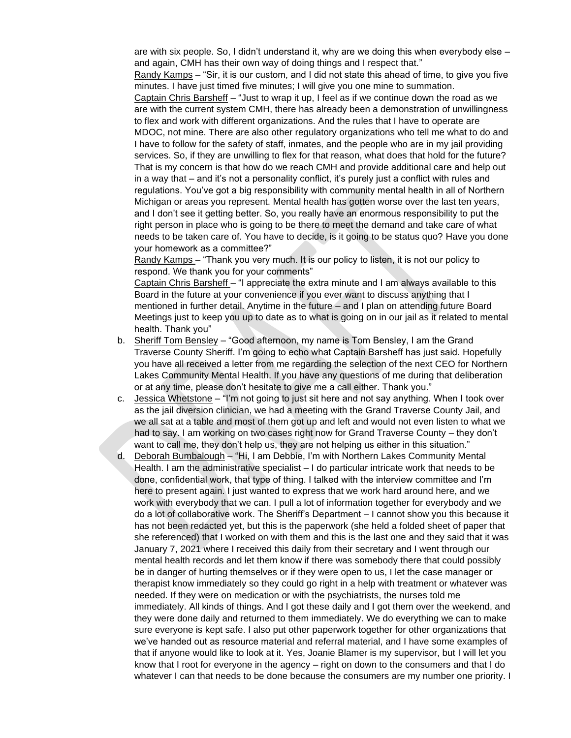are with six people. So, I didn't understand it, why are we doing this when everybody else – and again, CMH has their own way of doing things and I respect that."

Randy Kamps – "Sir, it is our custom, and I did not state this ahead of time, to give you five minutes. I have just timed five minutes; I will give you one mine to summation.

Captain Chris Barsheff – "Just to wrap it up, I feel as if we continue down the road as we are with the current system CMH, there has already been a demonstration of unwillingness to flex and work with different organizations. And the rules that I have to operate are MDOC, not mine. There are also other regulatory organizations who tell me what to do and I have to follow for the safety of staff, inmates, and the people who are in my jail providing services. So, if they are unwilling to flex for that reason, what does that hold for the future? That is my concern is that how do we reach CMH and provide additional care and help out in a way that – and it's not a personality conflict, it's purely just a conflict with rules and regulations. You've got a big responsibility with community mental health in all of Northern Michigan or areas you represent. Mental health has gotten worse over the last ten years, and I don't see it getting better. So, you really have an enormous responsibility to put the right person in place who is going to be there to meet the demand and take care of what needs to be taken care of. You have to decide, is it going to be status quo? Have you done your homework as a committee?"

Randy Kamps – "Thank you very much. It is our policy to listen, it is not our policy to respond. We thank you for your comments"

Captain Chris Barsheff – "I appreciate the extra minute and I am always available to this Board in the future at your convenience if you ever want to discuss anything that I mentioned in further detail. Anytime in the future – and I plan on attending future Board Meetings just to keep you up to date as to what is going on in our jail as it related to mental health. Thank you"

- b. Sheriff Tom Bensley "Good afternoon, my name is Tom Bensley, I am the Grand Traverse County Sheriff. I'm going to echo what Captain Barsheff has just said. Hopefully you have all received a letter from me regarding the selection of the next CEO for Northern Lakes Community Mental Health. If you have any questions of me during that deliberation or at any time, please don't hesitate to give me a call either. Thank you."
- c. Jessica Whetstone "I'm not going to just sit here and not say anything. When I took over as the jail diversion clinician, we had a meeting with the Grand Traverse County Jail, and we all sat at a table and most of them got up and left and would not even listen to what we had to say. I am working on two cases right now for Grand Traverse County – they don't want to call me, they don't help us, they are not helping us either in this situation."
- d. Deborah Bumbalough "Hi, I am Debbie, I'm with Northern Lakes Community Mental Health. I am the administrative specialist – I do particular intricate work that needs to be done, confidential work, that type of thing. I talked with the interview committee and I'm here to present again. I just wanted to express that we work hard around here, and we work with everybody that we can. I pull a lot of information together for everybody and we do a lot of collaborative work. The Sheriff's Department – I cannot show you this because it has not been redacted yet, but this is the paperwork (she held a folded sheet of paper that she referenced) that I worked on with them and this is the last one and they said that it was January 7, 2021 where I received this daily from their secretary and I went through our mental health records and let them know if there was somebody there that could possibly be in danger of hurting themselves or if they were open to us, I let the case manager or therapist know immediately so they could go right in a help with treatment or whatever was needed. If they were on medication or with the psychiatrists, the nurses told me immediately. All kinds of things. And I got these daily and I got them over the weekend, and they were done daily and returned to them immediately. We do everything we can to make sure everyone is kept safe. I also put other paperwork together for other organizations that we've handed out as resource material and referral material, and I have some examples of that if anyone would like to look at it. Yes, Joanie Blamer is my supervisor, but I will let you know that I root for everyone in the agency – right on down to the consumers and that I do whatever I can that needs to be done because the consumers are my number one priority. I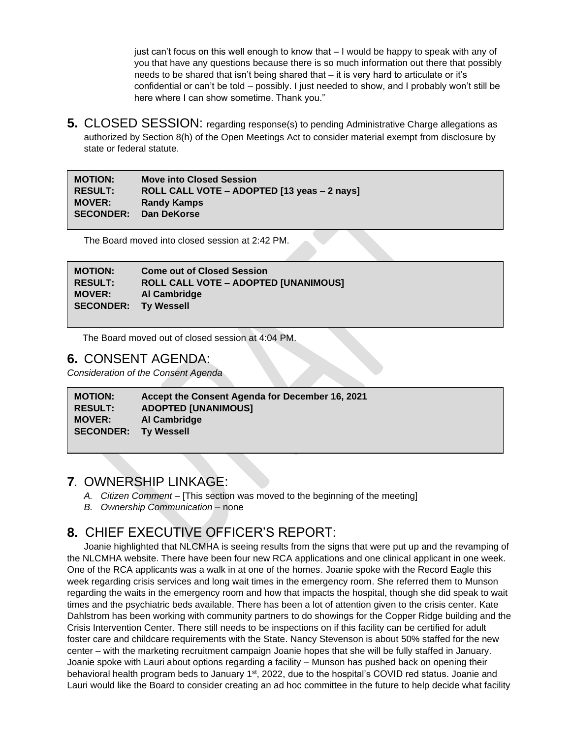just can't focus on this well enough to know that – I would be happy to speak with any of you that have any questions because there is so much information out there that possibly needs to be shared that isn't being shared that – it is very hard to articulate or it's confidential or can't be told – possibly. I just needed to show, and I probably won't still be here where I can show sometime. Thank you."

**5.** CLOSED SESSION: regarding response(s) to pending Administrative Charge allegations as authorized by Section 8(h) of the Open Meetings Act to consider material exempt from disclosure by state or federal statute.

| <b>MOTION:</b>        | <b>Move into Closed Session</b>             |
|-----------------------|---------------------------------------------|
| <b>RESULT:</b>        | ROLL CALL VOTE - ADOPTED [13 yeas - 2 nays] |
| <b>MOVER:</b>         | <b>Randy Kamps</b>                          |
| SECONDER: Dan DeKorse |                                             |

The Board moved into closed session at 2:42 PM.

| <b>MOTION:</b>              | <b>Come out of Closed Session</b>           |
|-----------------------------|---------------------------------------------|
| <b>RESULT:</b>              | <b>ROLL CALL VOTE - ADOPTED [UNANIMOUS]</b> |
| <b>MOVER:</b>               | Al Cambridge                                |
| <b>SECONDER: Ty Wessell</b> |                                             |

The Board moved out of closed session at 4:04 PM.

### **6.** CONSENT AGENDA:

*Consideration of the Consent Agenda*

| <b>MOTION:</b>              | Accept the Consent Agenda for December 16, 2021 |
|-----------------------------|-------------------------------------------------|
| <b>RESULT:</b>              | <b>ADOPTED [UNANIMOUS]</b>                      |
| <b>MOVER:</b>               | Al Cambridge                                    |
| <b>SECONDER:</b> Ty Wessell |                                                 |

### **7.** OWNERSHIP LINKAGE:

- *A. Citizen Comment* [This section was moved to the beginning of the meeting]
- *B. Ownership Communication –* none

# **8.** CHIEF EXECUTIVE OFFICER'S REPORT:

Joanie highlighted that NLCMHA is seeing results from the signs that were put up and the revamping of the NLCMHA website. There have been four new RCA applications and one clinical applicant in one week. One of the RCA applicants was a walk in at one of the homes. Joanie spoke with the Record Eagle this week regarding crisis services and long wait times in the emergency room. She referred them to Munson regarding the waits in the emergency room and how that impacts the hospital, though she did speak to wait times and the psychiatric beds available. There has been a lot of attention given to the crisis center. Kate Dahlstrom has been working with community partners to do showings for the Copper Ridge building and the Crisis Intervention Center. There still needs to be inspections on if this facility can be certified for adult foster care and childcare requirements with the State. Nancy Stevenson is about 50% staffed for the new center – with the marketing recruitment campaign Joanie hopes that she will be fully staffed in January. Joanie spoke with Lauri about options regarding a facility – Munson has pushed back on opening their behavioral health program beds to January 1<sup>st</sup>, 2022, due to the hospital's COVID red status. Joanie and Lauri would like the Board to consider creating an ad hoc committee in the future to help decide what facility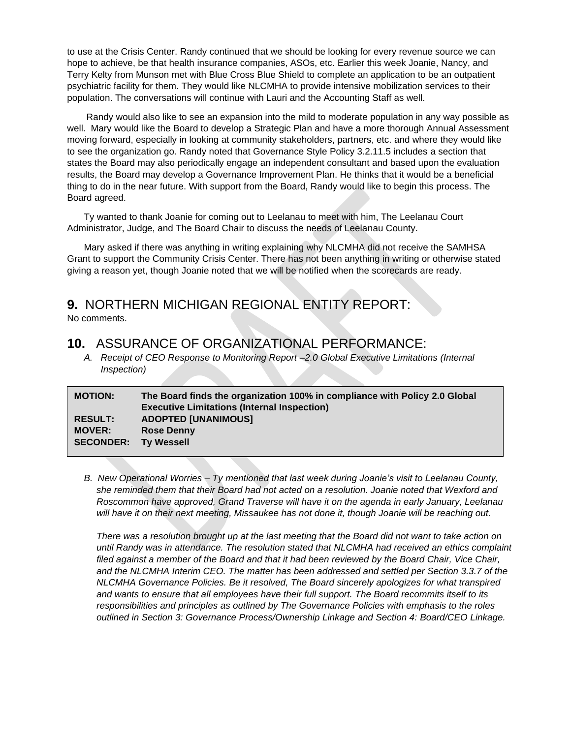to use at the Crisis Center. Randy continued that we should be looking for every revenue source we can hope to achieve, be that health insurance companies, ASOs, etc. Earlier this week Joanie, Nancy, and Terry Kelty from Munson met with Blue Cross Blue Shield to complete an application to be an outpatient psychiatric facility for them. They would like NLCMHA to provide intensive mobilization services to their population. The conversations will continue with Lauri and the Accounting Staff as well.

Randy would also like to see an expansion into the mild to moderate population in any way possible as well. Mary would like the Board to develop a Strategic Plan and have a more thorough Annual Assessment moving forward, especially in looking at community stakeholders, partners, etc. and where they would like to see the organization go. Randy noted that Governance Style Policy 3.2.11.5 includes a section that states the Board may also periodically engage an independent consultant and based upon the evaluation results, the Board may develop a Governance Improvement Plan. He thinks that it would be a beneficial thing to do in the near future. With support from the Board, Randy would like to begin this process. The Board agreed.

Ty wanted to thank Joanie for coming out to Leelanau to meet with him, The Leelanau Court Administrator, Judge, and The Board Chair to discuss the needs of Leelanau County.

Mary asked if there was anything in writing explaining why NLCMHA did not receive the SAMHSA Grant to support the Community Crisis Center. There has not been anything in writing or otherwise stated giving a reason yet, though Joanie noted that we will be notified when the scorecards are ready.

# **9.** NORTHERN MICHIGAN REGIONAL ENTITY REPORT:

No comments.

### **10.** ASSURANCE OF ORGANIZATIONAL PERFORMANCE:

*A. Receipt of CEO Response to Monitoring Report –2.0 Global Executive Limitations (Internal Inspection)*

| <b>MOTION:</b>              | The Board finds the organization 100% in compliance with Policy 2.0 Global<br><b>Executive Limitations (Internal Inspection)</b> |
|-----------------------------|----------------------------------------------------------------------------------------------------------------------------------|
| <b>RESULT:</b>              | <b>ADOPTED [UNANIMOUS]</b>                                                                                                       |
| <b>MOVER:</b>               | <b>Rose Denny</b>                                                                                                                |
| <b>SECONDER: Ty Wessell</b> |                                                                                                                                  |

*B. New Operational Worries – Ty mentioned that last week during Joanie's visit to Leelanau County, she reminded them that their Board had not acted on a resolution. Joanie noted that Wexford and Roscommon have approved, Grand Traverse will have it on the agenda in early January, Leelanau will have it on their next meeting, Missaukee has not done it, though Joanie will be reaching out.*

*There was a resolution brought up at the last meeting that the Board did not want to take action on until Randy was in attendance. The resolution stated that NLCMHA had received an ethics complaint filed against a member of the Board and that it had been reviewed by the Board Chair, Vice Chair, and the NLCMHA Interim CEO. The matter has been addressed and settled per Section 3.3.7 of the NLCMHA Governance Policies. Be it resolved, The Board sincerely apologizes for what transpired and wants to ensure that all employees have their full support. The Board recommits itself to its responsibilities and principles as outlined by The Governance Policies with emphasis to the roles outlined in Section 3: Governance Process/Ownership Linkage and Section 4: Board/CEO Linkage.*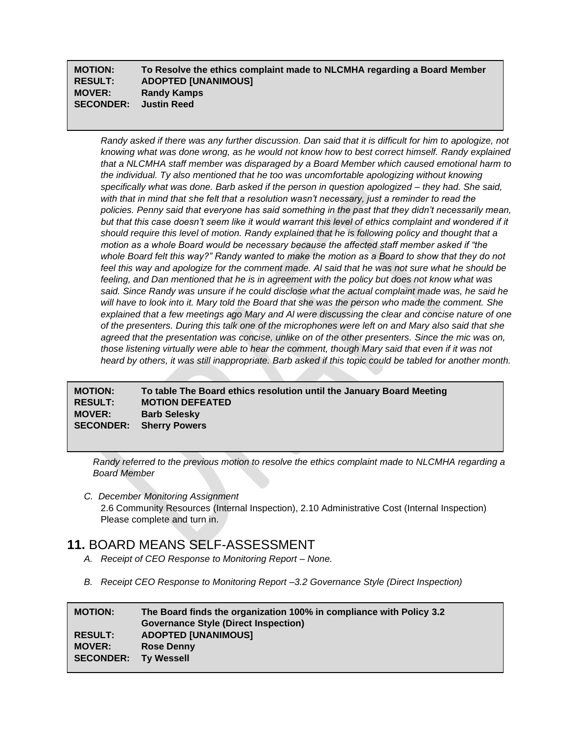#### **MOTION: To Resolve the ethics complaint made to NLCMHA regarding a Board Member RESULT: ADOPTED [UNANIMOUS] MOVER: Randy Kamps SECONDER: Justin Reed**

*Randy asked if there was any further discussion. Dan said that it is difficult for him to apologize, not knowing what was done wrong, as he would not know how to best correct himself. Randy explained that a NLCMHA staff member was disparaged by a Board Member which caused emotional harm to the individual. Ty also mentioned that he too was uncomfortable apologizing without knowing specifically what was done. Barb asked if the person in question apologized – they had. She said, with that in mind that she felt that a resolution wasn't necessary, just a reminder to read the policies. Penny said that everyone has said something in the past that they didn't necessarily mean, but that this case doesn't seem like it would warrant this level of ethics complaint and wondered if it should require this level of motion. Randy explained that he is following policy and thought that a motion as a whole Board would be necessary because the affected staff member asked if "the whole Board felt this way?" Randy wanted to make the motion as a Board to show that they do not feel this way and apologize for the comment made. Al said that he was not sure what he should be feeling, and Dan mentioned that he is in agreement with the policy but does not know what was said. Since Randy was unsure if he could disclose what the actual complaint made was, he said he will have to look into it. Mary told the Board that she was the person who made the comment. She explained that a few meetings ago Mary and Al were discussing the clear and concise nature of one of the presenters. During this talk one of the microphones were left on and Mary also said that she agreed that the presentation was concise, unlike on of the other presenters. Since the mic was on, those listening virtually were able to hear the comment, though Mary said that even if it was not heard by others, it was still inappropriate. Barb asked if this topic could be tabled for another month.*

**MOTION: To table The Board ethics resolution until the January Board Meeting RESULT: MOTION DEFEATED MOVER: Barb Selesky SECONDER: Sherry Powers**

*Randy referred to the previous motion to resolve the ethics complaint made to NLCMHA regarding a Board Member*

*C. December Monitoring Assignment* 2.6 Community Resources (Internal Inspection), 2.10 Administrative Cost (Internal Inspection) Please complete and turn in.

## **11.** BOARD MEANS SELF-ASSESSMENT

- *A. Receipt of CEO Response to Monitoring Report – None.*
- *B. Receipt CEO Response to Monitoring Report –3.2 Governance Style (Direct Inspection)*

| <b>MOTION:</b>              | The Board finds the organization 100% in compliance with Policy 3.2 |
|-----------------------------|---------------------------------------------------------------------|
|                             | <b>Governance Style (Direct Inspection)</b>                         |
| <b>RESULT:</b>              | <b>ADOPTED [UNANIMOUS]</b>                                          |
| <b>MOVER:</b>               | <b>Rose Denny</b>                                                   |
| <b>SECONDER: Ty Wessell</b> |                                                                     |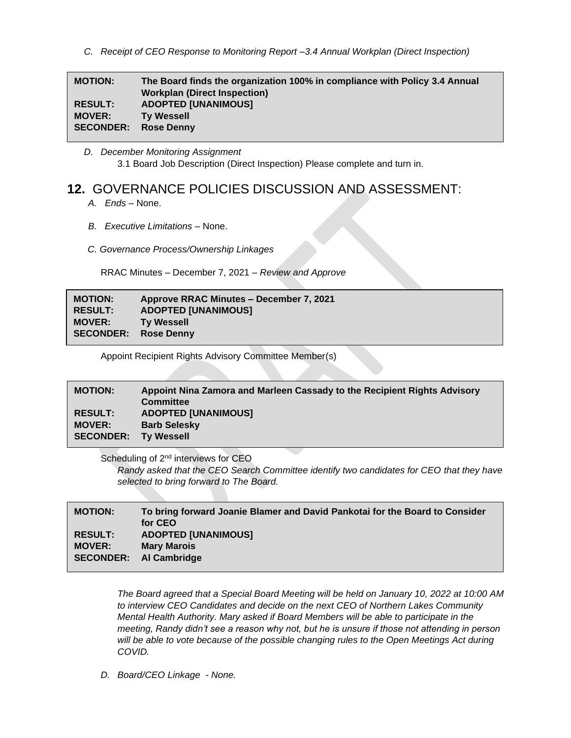*C. Receipt of CEO Response to Monitoring Report –3.4 Annual Workplan (Direct Inspection)*

| <b>MOTION:</b>   | The Board finds the organization 100% in compliance with Policy 3.4 Annual<br><b>Workplan (Direct Inspection)</b> |
|------------------|-------------------------------------------------------------------------------------------------------------------|
| <b>RESULT:</b>   | <b>ADOPTED [UNANIMOUS]</b>                                                                                        |
| <b>MOVER:</b>    | <b>Ty Wessell</b>                                                                                                 |
| <b>SECONDER:</b> | <b>Rose Denny</b>                                                                                                 |

*D. December Monitoring Assignment* 3.1 Board Job Description (Direct Inspection) Please complete and turn in.

# **12.** GOVERNANCE POLICIES DISCUSSION AND ASSESSMENT:

- *A. Ends –* None.
- *B. Executive Limitations –* None.
- *C. Governance Process/Ownership Linkages*

RRAC Minutes – December 7, 2021 – *Review and Approve*

| <b>MOTION:</b>   | Approve RRAC Minutes – December 7, 2021 |
|------------------|-----------------------------------------|
| <b>RESULT:</b>   | <b>ADOPTED [UNANIMOUS]</b>              |
| <b>MOVER:</b>    | <b>Ty Wessell</b>                       |
| <b>SECONDER:</b> | <b>Rose Denny</b>                       |

Appoint Recipient Rights Advisory Committee Member(s)

#### **MOTION: Appoint Nina Zamora and Marleen Cassady to the Recipient Rights Advisory Committee RESULT: ADOPTED [UNANIMOUS] MOVER: Barb Selesky SECONDER: Ty Wessell**

Scheduling of 2<sup>nd</sup> interviews for CEO *Randy asked that the CEO Search Committee identify two candidates for CEO that they have selected to bring forward to The Board.*

| <b>MOTION:</b>                  | To bring forward Joanie Blamer and David Pankotai for the Board to Consider<br>for CEO |
|---------------------------------|----------------------------------------------------------------------------------------|
| <b>RESULT:</b><br><b>MOVER:</b> | <b>ADOPTED [UNANIMOUS]</b><br><b>Mary Marois</b><br>SECONDER: Al Cambridge             |

*The Board agreed that a Special Board Meeting will be held on January 10, 2022 at 10:00 AM to interview CEO Candidates and decide on the next CEO of Northern Lakes Community Mental Health Authority. Mary asked if Board Members will be able to participate in the meeting, Randy didn't see a reason why not, but he is unsure if those not attending in person will be able to vote because of the possible changing rules to the Open Meetings Act during COVID.*

*D. Board/CEO Linkage - None.*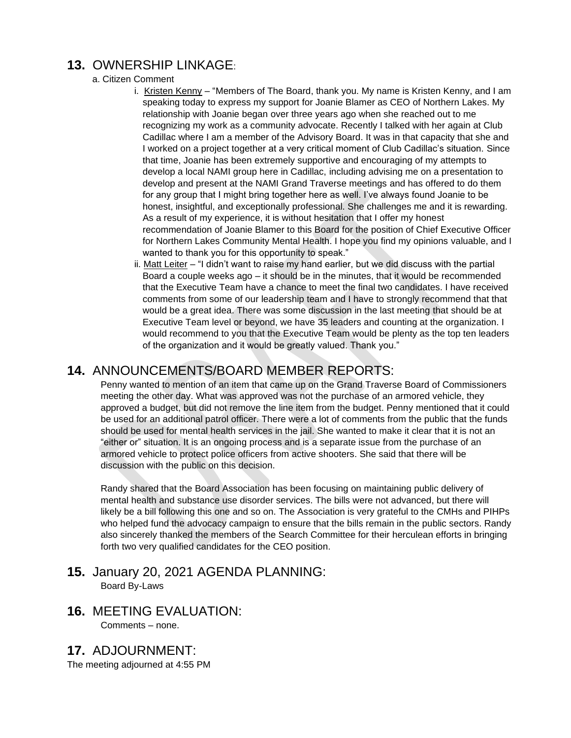# **13.** OWNERSHIP LINKAGE:

#### a. Citizen Comment

- i. Kristen Kenny "Members of The Board, thank you. My name is Kristen Kenny, and I am speaking today to express my support for Joanie Blamer as CEO of Northern Lakes. My relationship with Joanie began over three years ago when she reached out to me recognizing my work as a community advocate. Recently I talked with her again at Club Cadillac where I am a member of the Advisory Board. It was in that capacity that she and I worked on a project together at a very critical moment of Club Cadillac's situation. Since that time, Joanie has been extremely supportive and encouraging of my attempts to develop a local NAMI group here in Cadillac, including advising me on a presentation to develop and present at the NAMI Grand Traverse meetings and has offered to do them for any group that I might bring together here as well. I've always found Joanie to be honest, insightful, and exceptionally professional. She challenges me and it is rewarding. As a result of my experience, it is without hesitation that I offer my honest recommendation of Joanie Blamer to this Board for the position of Chief Executive Officer for Northern Lakes Community Mental Health. I hope you find my opinions valuable, and I wanted to thank you for this opportunity to speak."
- ii. Matt Leiter "I didn't want to raise my hand earlier, but we did discuss with the partial Board a couple weeks ago – it should be in the minutes, that it would be recommended that the Executive Team have a chance to meet the final two candidates. I have received comments from some of our leadership team and I have to strongly recommend that that would be a great idea. There was some discussion in the last meeting that should be at Executive Team level or beyond, we have 35 leaders and counting at the organization. I would recommend to you that the Executive Team would be plenty as the top ten leaders of the organization and it would be greatly valued. Thank you."

## **14.** ANNOUNCEMENTS/BOARD MEMBER REPORTS:

Penny wanted to mention of an item that came up on the Grand Traverse Board of Commissioners meeting the other day. What was approved was not the purchase of an armored vehicle, they approved a budget, but did not remove the line item from the budget. Penny mentioned that it could be used for an additional patrol officer. There were a lot of comments from the public that the funds should be used for mental health services in the jail. She wanted to make it clear that it is not an "either or" situation. It is an ongoing process and is a separate issue from the purchase of an armored vehicle to protect police officers from active shooters. She said that there will be discussion with the public on this decision.

Randy shared that the Board Association has been focusing on maintaining public delivery of mental health and substance use disorder services. The bills were not advanced, but there will likely be a bill following this one and so on. The Association is very grateful to the CMHs and PIHPs who helped fund the advocacy campaign to ensure that the bills remain in the public sectors. Randy also sincerely thanked the members of the Search Committee for their herculean efforts in bringing forth two very qualified candidates for the CEO position.

#### **15.** January 20, 2021 AGENDA PLANNING: Board By-Laws

**16.** MEETING EVALUATION:

Comments – none.

**17.** ADJOURNMENT:

The meeting adjourned at 4:55 PM